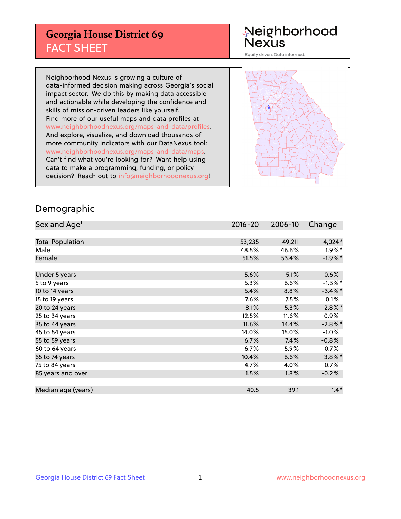## **Georgia House District 69** FACT SHEET

# Neighborhood<br>Nexus

Equity driven. Data informed.

Neighborhood Nexus is growing a culture of data-informed decision making across Georgia's social impact sector. We do this by making data accessible and actionable while developing the confidence and skills of mission-driven leaders like yourself. Find more of our useful maps and data profiles at www.neighborhoodnexus.org/maps-and-data/profiles. And explore, visualize, and download thousands of more community indicators with our DataNexus tool: www.neighborhoodnexus.org/maps-and-data/maps. Can't find what you're looking for? Want help using data to make a programming, funding, or policy decision? Reach out to [info@neighborhoodnexus.org!](mailto:info@neighborhoodnexus.org)



### Demographic

| Sex and Age <sup>1</sup> | $2016 - 20$ | 2006-10 | Change     |
|--------------------------|-------------|---------|------------|
|                          |             |         |            |
| <b>Total Population</b>  | 53,235      | 49,211  | 4,024*     |
| Male                     | 48.5%       | 46.6%   | $1.9\%$ *  |
| Female                   | 51.5%       | 53.4%   | $-1.9%$ *  |
|                          |             |         |            |
| Under 5 years            | 5.6%        | 5.1%    | 0.6%       |
| 5 to 9 years             | 5.3%        | 6.6%    | $-1.3\%$ * |
| 10 to 14 years           | 5.4%        | 8.8%    | $-3.4\%$ * |
| 15 to 19 years           | 7.6%        | 7.5%    | 0.1%       |
| 20 to 24 years           | 8.1%        | 5.3%    | $2.8\%$ *  |
| 25 to 34 years           | 12.5%       | 11.6%   | $0.9\%$    |
| 35 to 44 years           | 11.6%       | 14.4%   | $-2.8\%$ * |
| 45 to 54 years           | 14.0%       | 15.0%   | $-1.0%$    |
| 55 to 59 years           | 6.7%        | 7.4%    | $-0.8%$    |
| 60 to 64 years           | 6.7%        | 5.9%    | 0.7%       |
| 65 to 74 years           | 10.4%       | 6.6%    | $3.8\%$ *  |
| 75 to 84 years           | 4.7%        | 4.0%    | 0.7%       |
| 85 years and over        | 1.5%        | 1.8%    | $-0.2%$    |
|                          |             |         |            |
| Median age (years)       | 40.5        | 39.1    | $1.4*$     |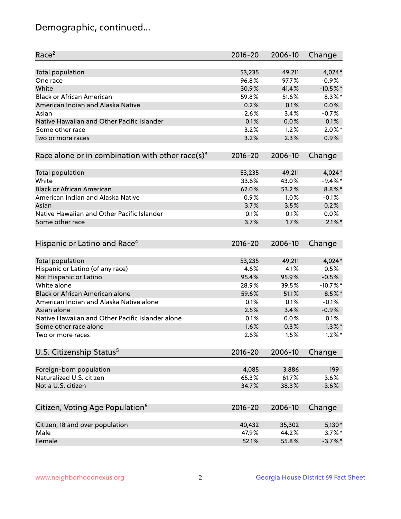## Demographic, continued...

| Race <sup>2</sup>                                            | $2016 - 20$ | 2006-10 | Change     |
|--------------------------------------------------------------|-------------|---------|------------|
| <b>Total population</b>                                      | 53,235      | 49,211  | $4,024*$   |
| One race                                                     | 96.8%       | 97.7%   | $-0.9%$    |
| White                                                        | 30.9%       | 41.4%   | $-10.5%$ * |
| <b>Black or African American</b>                             | 59.8%       | 51.6%   | $8.3\%$ *  |
| American Indian and Alaska Native                            | 0.2%        | 0.1%    | 0.0%       |
| Asian                                                        | 2.6%        | 3.4%    | $-0.7%$    |
| Native Hawaiian and Other Pacific Islander                   | 0.1%        | 0.0%    | 0.1%       |
| Some other race                                              | 3.2%        | 1.2%    | $2.0\%$ *  |
| Two or more races                                            | 3.2%        | 2.3%    | 0.9%       |
| Race alone or in combination with other race(s) <sup>3</sup> | $2016 - 20$ | 2006-10 | Change     |
| Total population                                             | 53,235      | 49,211  | $4,024*$   |
| White                                                        | 33.6%       | 43.0%   | $-9.4%$ *  |
| <b>Black or African American</b>                             | 62.0%       | 53.2%   | $8.8\%$ *  |
| American Indian and Alaska Native                            | 0.9%        | 1.0%    | $-0.1%$    |
| Asian                                                        | 3.7%        | 3.5%    | 0.2%       |
| Native Hawaiian and Other Pacific Islander                   | 0.1%        | 0.1%    | 0.0%       |
| Some other race                                              | 3.7%        | 1.7%    | $2.1\%$ *  |
|                                                              |             |         |            |
| Hispanic or Latino and Race <sup>4</sup>                     | $2016 - 20$ | 2006-10 | Change     |
| Total population                                             | 53,235      | 49,211  | $4,024*$   |
| Hispanic or Latino (of any race)                             | 4.6%        | 4.1%    | 0.5%       |
| Not Hispanic or Latino                                       | 95.4%       | 95.9%   | $-0.5%$    |
| White alone                                                  | 28.9%       | 39.5%   | $-10.7%$ * |
| Black or African American alone                              | 59.6%       | 51.1%   | $8.5\%$ *  |
| American Indian and Alaska Native alone                      | 0.1%        | 0.1%    | $-0.1%$    |
| Asian alone                                                  | 2.5%        | 3.4%    | $-0.9%$    |
| Native Hawaiian and Other Pacific Islander alone             | 0.1%        | 0.0%    | 0.1%       |
| Some other race alone                                        | 1.6%        | 0.3%    | $1.3\%$ *  |
| Two or more races                                            | 2.6%        | 1.5%    | $1.2\%$ *  |
| U.S. Citizenship Status <sup>5</sup>                         | $2016 - 20$ | 2006-10 | Change     |
|                                                              |             |         |            |
| Foreign-born population                                      | 4,085       | 3,886   | 199        |
| Naturalized U.S. citizen                                     | 65.3%       | 61.7%   | 3.6%       |
| Not a U.S. citizen                                           | 34.7%       | 38.3%   | $-3.6%$    |
| Citizen, Voting Age Population <sup>6</sup>                  | 2016-20     | 2006-10 | Change     |
| Citizen, 18 and over population                              | 40,432      | 35,302  | $5,130*$   |
| Male                                                         | 47.9%       | 44.2%   | $3.7\%$ *  |
| Female                                                       | 52.1%       | 55.8%   | $-3.7\%$ * |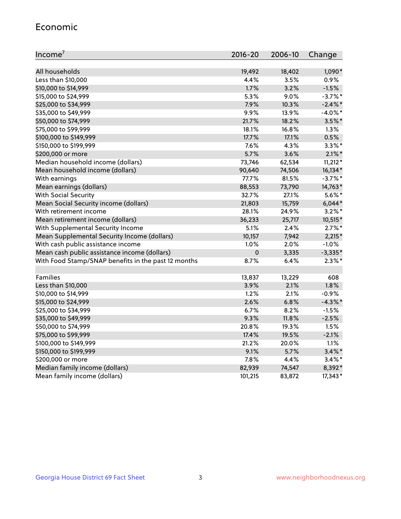#### Economic

| Income <sup>7</sup>                                 | $2016 - 20$ | 2006-10 | Change     |
|-----------------------------------------------------|-------------|---------|------------|
|                                                     |             |         |            |
| All households                                      | 19,492      | 18,402  | 1,090*     |
| Less than \$10,000                                  | 4.4%        | 3.5%    | 0.9%       |
| \$10,000 to \$14,999                                | 1.7%        | 3.2%    | $-1.5%$    |
| \$15,000 to \$24,999                                | 5.3%        | 9.0%    | $-3.7\%$ * |
| \$25,000 to \$34,999                                | 7.9%        | 10.3%   | $-2.4\%$ * |
| \$35,000 to \$49,999                                | 9.9%        | 13.9%   | $-4.0\%$ * |
| \$50,000 to \$74,999                                | 21.7%       | 18.2%   | $3.5\%$ *  |
| \$75,000 to \$99,999                                | 18.1%       | 16.8%   | 1.3%       |
| \$100,000 to \$149,999                              | 17.7%       | 17.1%   | 0.5%       |
| \$150,000 to \$199,999                              | 7.6%        | 4.3%    | $3.3\%$ *  |
| \$200,000 or more                                   | 5.7%        | 3.6%    | $2.1\%$ *  |
| Median household income (dollars)                   | 73,746      | 62,534  | $11,212*$  |
| Mean household income (dollars)                     | 90,640      | 74,506  | 16,134*    |
| With earnings                                       | 77.7%       | 81.5%   | $-3.7%$ *  |
| Mean earnings (dollars)                             | 88,553      | 73,790  | 14,763*    |
| <b>With Social Security</b>                         | 32.7%       | 27.1%   | $5.6\%$ *  |
| Mean Social Security income (dollars)               | 21,803      | 15,759  | $6,044*$   |
| With retirement income                              | 28.1%       | 24.9%   | $3.2\%$ *  |
| Mean retirement income (dollars)                    | 36,233      | 25,717  | 10,515*    |
| With Supplemental Security Income                   | 5.1%        | 2.4%    | $2.7\%$ *  |
| Mean Supplemental Security Income (dollars)         | 10,157      | 7,942   | $2,215*$   |
| With cash public assistance income                  | 1.0%        | 2.0%    | $-1.0%$    |
| Mean cash public assistance income (dollars)        | $\mathbf 0$ | 3,335   | $-3,335*$  |
| With Food Stamp/SNAP benefits in the past 12 months | 8.7%        | 6.4%    | $2.3\%$ *  |
|                                                     |             |         |            |
| Families                                            | 13,837      | 13,229  | 608        |
| Less than \$10,000                                  | 3.9%        | 2.1%    | 1.8%       |
| \$10,000 to \$14,999                                | 1.2%        | 2.1%    | $-0.9%$    |
| \$15,000 to \$24,999                                | 2.6%        | 6.8%    | $-4.3\%$ * |
| \$25,000 to \$34,999                                | 6.7%        | 8.2%    | $-1.5%$    |
| \$35,000 to \$49,999                                | 9.3%        | 11.8%   | $-2.5%$    |
| \$50,000 to \$74,999                                | 20.8%       | 19.3%   | 1.5%       |
| \$75,000 to \$99,999                                | 17.4%       | 19.5%   | $-2.1%$    |
| \$100,000 to \$149,999                              | 21.2%       | 20.0%   | 1.1%       |
| \$150,000 to \$199,999                              | 9.1%        | 5.7%    | $3.4\%$ *  |
| \$200,000 or more                                   | 7.8%        | 4.4%    | $3.4\%$ *  |
| Median family income (dollars)                      | 82,939      | 74,547  | 8,392*     |
| Mean family income (dollars)                        | 101,215     | 83,872  | 17,343*    |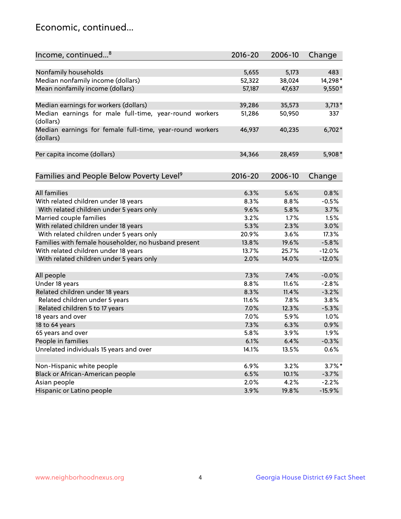## Economic, continued...

| Income, continued <sup>8</sup>                           | 2016-20 | 2006-10 | Change    |
|----------------------------------------------------------|---------|---------|-----------|
|                                                          |         |         |           |
| Nonfamily households                                     | 5,655   | 5,173   | 483       |
| Median nonfamily income (dollars)                        | 52,322  | 38,024  | 14,298*   |
| Mean nonfamily income (dollars)                          | 57,187  | 47,637  | $9,550*$  |
|                                                          |         |         |           |
| Median earnings for workers (dollars)                    | 39,286  | 35,573  | $3,713*$  |
| Median earnings for male full-time, year-round workers   | 51,286  | 50,950  | 337       |
| (dollars)                                                |         |         |           |
| Median earnings for female full-time, year-round workers | 46,937  | 40,235  | $6,702*$  |
| (dollars)                                                |         |         |           |
|                                                          |         |         |           |
| Per capita income (dollars)                              | 34,366  | 28,459  | 5,908*    |
|                                                          |         |         |           |
| Families and People Below Poverty Level <sup>9</sup>     | 2016-20 | 2006-10 | Change    |
|                                                          |         |         |           |
| <b>All families</b>                                      | 6.3%    | 5.6%    | 0.8%      |
| With related children under 18 years                     | 8.3%    | 8.8%    | $-0.5%$   |
| With related children under 5 years only                 | 9.6%    | 5.8%    | 3.7%      |
| Married couple families                                  | 3.2%    | 1.7%    | 1.5%      |
| With related children under 18 years                     | 5.3%    | 2.3%    | 3.0%      |
| With related children under 5 years only                 | 20.9%   | 3.6%    | 17.3%     |
| Families with female householder, no husband present     | 13.8%   | 19.6%   | $-5.8%$   |
| With related children under 18 years                     | 13.7%   | 25.7%   | $-12.0%$  |
| With related children under 5 years only                 | 2.0%    | 14.0%   | $-12.0%$  |
|                                                          |         |         |           |
| All people                                               | 7.3%    | 7.4%    | $-0.0%$   |
| Under 18 years                                           | 8.8%    | 11.6%   | $-2.8%$   |
| Related children under 18 years                          | 8.3%    | 11.4%   | $-3.2%$   |
| Related children under 5 years                           | 11.6%   | 7.8%    | 3.8%      |
| Related children 5 to 17 years                           | 7.0%    | 12.3%   | $-5.3%$   |
| 18 years and over                                        | 7.0%    | 5.9%    | 1.0%      |
| 18 to 64 years                                           | 7.3%    | 6.3%    | 0.9%      |
| 65 years and over                                        | 5.8%    | 3.9%    | 1.9%      |
| People in families                                       | 6.1%    | 6.4%    | $-0.3%$   |
| Unrelated individuals 15 years and over                  | 14.1%   | 13.5%   | 0.6%      |
|                                                          |         |         |           |
| Non-Hispanic white people                                | 6.9%    | 3.2%    | $3.7\%$ * |
| Black or African-American people                         | 6.5%    | 10.1%   | $-3.7%$   |
| Asian people                                             | 2.0%    | 4.2%    | $-2.2%$   |
| Hispanic or Latino people                                | 3.9%    | 19.8%   | $-15.9%$  |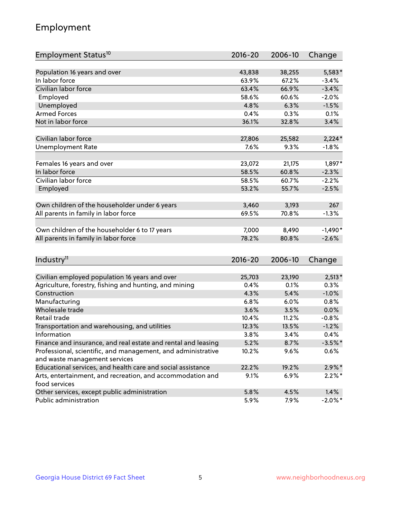## Employment

| Employment Status <sup>10</sup>                                             | $2016 - 20$ | 2006-10 | Change     |
|-----------------------------------------------------------------------------|-------------|---------|------------|
|                                                                             |             |         |            |
| Population 16 years and over                                                | 43,838      | 38,255  | 5,583*     |
| In labor force                                                              | 63.9%       | 67.2%   | $-3.4%$    |
| Civilian labor force                                                        | 63.4%       | 66.9%   | $-3.4%$    |
| Employed                                                                    | 58.6%       | 60.6%   | $-2.0%$    |
| Unemployed                                                                  | 4.8%        | 6.3%    | $-1.5%$    |
| <b>Armed Forces</b>                                                         | 0.4%        | 0.3%    | 0.1%       |
| Not in labor force                                                          | 36.1%       | 32.8%   | 3.4%       |
|                                                                             |             |         |            |
| Civilian labor force                                                        | 27,806      | 25,582  | $2,224*$   |
| <b>Unemployment Rate</b>                                                    | 7.6%        | 9.3%    | $-1.8%$    |
| Females 16 years and over                                                   | 23,072      | 21,175  | 1,897*     |
| In labor force                                                              | 58.5%       | 60.8%   | $-2.3%$    |
| Civilian labor force                                                        | 58.5%       | 60.7%   | $-2.2%$    |
| Employed                                                                    | 53.2%       | 55.7%   | $-2.5%$    |
|                                                                             |             |         |            |
| Own children of the householder under 6 years                               | 3,460       | 3,193   | 267        |
| All parents in family in labor force                                        | 69.5%       | 70.8%   | $-1.3%$    |
|                                                                             |             |         |            |
| Own children of the householder 6 to 17 years                               | 7,000       | 8,490   | $-1,490*$  |
| All parents in family in labor force                                        | 78.2%       | 80.8%   | $-2.6%$    |
|                                                                             |             |         |            |
| Industry <sup>11</sup>                                                      | $2016 - 20$ | 2006-10 | Change     |
|                                                                             |             |         |            |
| Civilian employed population 16 years and over                              | 25,703      | 23,190  | $2,513*$   |
| Agriculture, forestry, fishing and hunting, and mining                      | 0.4%        | 0.1%    | 0.3%       |
| Construction                                                                | 4.3%        | 5.4%    | $-1.0%$    |
| Manufacturing                                                               | 6.8%        | 6.0%    | 0.8%       |
| Wholesale trade                                                             | 3.6%        | 3.5%    | 0.0%       |
| Retail trade                                                                | 10.4%       | 11.2%   | $-0.8%$    |
| Transportation and warehousing, and utilities                               | 12.3%       | 13.5%   | $-1.2%$    |
| Information                                                                 | 3.8%        | 3.4%    | 0.4%       |
| Finance and insurance, and real estate and rental and leasing               | 5.2%        | 8.7%    | $-3.5%$ *  |
| Professional, scientific, and management, and administrative                | 10.2%       | $9.6\%$ | 0.6%       |
| and waste management services                                               |             |         |            |
| Educational services, and health care and social assistance                 | 22.2%       | 19.2%   | $2.9\%$ *  |
| Arts, entertainment, and recreation, and accommodation and<br>food services | 9.1%        | 6.9%    | $2.2\%$ *  |
| Other services, except public administration                                | 5.8%        | 4.5%    | 1.4%       |
| Public administration                                                       | 5.9%        | 7.9%    | $-2.0\%$ * |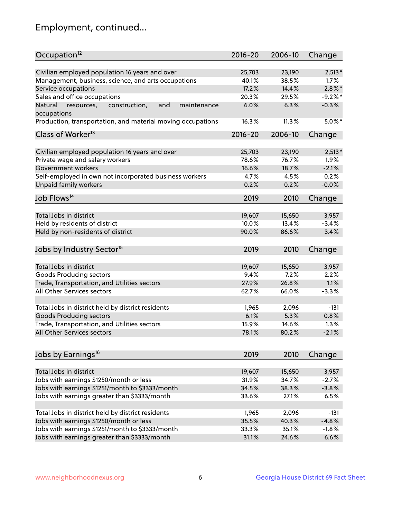## Employment, continued...

| Civilian employed population 16 years and over<br>$2,513*$<br>25,703<br>23,190<br>Management, business, science, and arts occupations<br>40.1%<br>38.5%<br>$1.7\%$<br>17.2%<br>14.4%<br>$2.8\%$ *<br>Service occupations<br>Sales and office occupations<br>$-9.2%$<br>20.3%<br>29.5%<br>6.0%<br>6.3%<br>$-0.3%$<br>Natural<br>and<br>resources,<br>construction,<br>maintenance<br>11.3%<br>$5.0\%$ *<br>16.3%<br>$2016 - 20$<br>2006-10<br>Change<br>Civilian employed population 16 years and over<br>$2,513*$<br>25,703<br>23,190<br>Private wage and salary workers<br>78.6%<br>76.7%<br>1.9%<br>$-2.1%$<br>Government workers<br>16.6%<br>18.7%<br>Self-employed in own not incorporated business workers<br>4.7%<br>0.2%<br>4.5%<br>Unpaid family workers<br>$-0.0%$<br>0.2%<br>0.2%<br>2019<br>2010<br>Change<br>Total Jobs in district<br>19,607<br>15,650<br>3,957<br>Held by residents of district<br>$-3.4%$<br>10.0%<br>13.4%<br>Held by non-residents of district<br>3.4%<br>90.0%<br>86.6%<br>2019<br>2010<br>Change<br>Total Jobs in district<br>19,607<br>15,650<br>3,957<br>Goods Producing sectors<br>9.4%<br>7.2%<br>2.2%<br>Trade, Transportation, and Utilities sectors<br>27.9%<br>26.8%<br>1.1%<br>All Other Services sectors<br>66.0%<br>$-3.3%$<br>62.7%<br>Total Jobs in district held by district residents<br>1,965<br>2,096<br>$-131$<br><b>Goods Producing sectors</b><br>6.1%<br>5.3%<br>0.8%<br>Trade, Transportation, and Utilities sectors<br>15.9%<br>14.6%<br>1.3%<br>$-2.1%$<br>78.1%<br>80.2%<br>2019<br>2010<br>Change<br>Total Jobs in district<br>19,607<br>3,957<br>15,650<br>Jobs with earnings \$1250/month or less<br>31.9%<br>34.7%<br>$-2.7%$<br>Jobs with earnings \$1251/month to \$3333/month<br>34.5%<br>38.3%<br>$-3.8%$<br>Jobs with earnings greater than \$3333/month<br>33.6%<br>6.5%<br>27.1%<br>Total Jobs in district held by district residents<br>1,965<br>2,096<br>$-131$<br>Jobs with earnings \$1250/month or less<br>40.3%<br>$-4.8%$<br>35.5% | Occupation <sup>12</sup>                                    | $2016 - 20$ | 2006-10 | Change  |
|------------------------------------------------------------------------------------------------------------------------------------------------------------------------------------------------------------------------------------------------------------------------------------------------------------------------------------------------------------------------------------------------------------------------------------------------------------------------------------------------------------------------------------------------------------------------------------------------------------------------------------------------------------------------------------------------------------------------------------------------------------------------------------------------------------------------------------------------------------------------------------------------------------------------------------------------------------------------------------------------------------------------------------------------------------------------------------------------------------------------------------------------------------------------------------------------------------------------------------------------------------------------------------------------------------------------------------------------------------------------------------------------------------------------------------------------------------------------------------------------------------------------------------------------------------------------------------------------------------------------------------------------------------------------------------------------------------------------------------------------------------------------------------------------------------------------------------------------------------------------------------------------------------------------------------------------------------------------------------------------------------------|-------------------------------------------------------------|-------------|---------|---------|
|                                                                                                                                                                                                                                                                                                                                                                                                                                                                                                                                                                                                                                                                                                                                                                                                                                                                                                                                                                                                                                                                                                                                                                                                                                                                                                                                                                                                                                                                                                                                                                                                                                                                                                                                                                                                                                                                                                                                                                                                                  |                                                             |             |         |         |
|                                                                                                                                                                                                                                                                                                                                                                                                                                                                                                                                                                                                                                                                                                                                                                                                                                                                                                                                                                                                                                                                                                                                                                                                                                                                                                                                                                                                                                                                                                                                                                                                                                                                                                                                                                                                                                                                                                                                                                                                                  |                                                             |             |         |         |
|                                                                                                                                                                                                                                                                                                                                                                                                                                                                                                                                                                                                                                                                                                                                                                                                                                                                                                                                                                                                                                                                                                                                                                                                                                                                                                                                                                                                                                                                                                                                                                                                                                                                                                                                                                                                                                                                                                                                                                                                                  |                                                             |             |         |         |
|                                                                                                                                                                                                                                                                                                                                                                                                                                                                                                                                                                                                                                                                                                                                                                                                                                                                                                                                                                                                                                                                                                                                                                                                                                                                                                                                                                                                                                                                                                                                                                                                                                                                                                                                                                                                                                                                                                                                                                                                                  |                                                             |             |         |         |
|                                                                                                                                                                                                                                                                                                                                                                                                                                                                                                                                                                                                                                                                                                                                                                                                                                                                                                                                                                                                                                                                                                                                                                                                                                                                                                                                                                                                                                                                                                                                                                                                                                                                                                                                                                                                                                                                                                                                                                                                                  |                                                             |             |         |         |
|                                                                                                                                                                                                                                                                                                                                                                                                                                                                                                                                                                                                                                                                                                                                                                                                                                                                                                                                                                                                                                                                                                                                                                                                                                                                                                                                                                                                                                                                                                                                                                                                                                                                                                                                                                                                                                                                                                                                                                                                                  | occupations                                                 |             |         |         |
|                                                                                                                                                                                                                                                                                                                                                                                                                                                                                                                                                                                                                                                                                                                                                                                                                                                                                                                                                                                                                                                                                                                                                                                                                                                                                                                                                                                                                                                                                                                                                                                                                                                                                                                                                                                                                                                                                                                                                                                                                  | Production, transportation, and material moving occupations |             |         |         |
|                                                                                                                                                                                                                                                                                                                                                                                                                                                                                                                                                                                                                                                                                                                                                                                                                                                                                                                                                                                                                                                                                                                                                                                                                                                                                                                                                                                                                                                                                                                                                                                                                                                                                                                                                                                                                                                                                                                                                                                                                  | Class of Worker <sup>13</sup>                               |             |         |         |
|                                                                                                                                                                                                                                                                                                                                                                                                                                                                                                                                                                                                                                                                                                                                                                                                                                                                                                                                                                                                                                                                                                                                                                                                                                                                                                                                                                                                                                                                                                                                                                                                                                                                                                                                                                                                                                                                                                                                                                                                                  |                                                             |             |         |         |
|                                                                                                                                                                                                                                                                                                                                                                                                                                                                                                                                                                                                                                                                                                                                                                                                                                                                                                                                                                                                                                                                                                                                                                                                                                                                                                                                                                                                                                                                                                                                                                                                                                                                                                                                                                                                                                                                                                                                                                                                                  |                                                             |             |         |         |
|                                                                                                                                                                                                                                                                                                                                                                                                                                                                                                                                                                                                                                                                                                                                                                                                                                                                                                                                                                                                                                                                                                                                                                                                                                                                                                                                                                                                                                                                                                                                                                                                                                                                                                                                                                                                                                                                                                                                                                                                                  |                                                             |             |         |         |
|                                                                                                                                                                                                                                                                                                                                                                                                                                                                                                                                                                                                                                                                                                                                                                                                                                                                                                                                                                                                                                                                                                                                                                                                                                                                                                                                                                                                                                                                                                                                                                                                                                                                                                                                                                                                                                                                                                                                                                                                                  |                                                             |             |         |         |
|                                                                                                                                                                                                                                                                                                                                                                                                                                                                                                                                                                                                                                                                                                                                                                                                                                                                                                                                                                                                                                                                                                                                                                                                                                                                                                                                                                                                                                                                                                                                                                                                                                                                                                                                                                                                                                                                                                                                                                                                                  |                                                             |             |         |         |
|                                                                                                                                                                                                                                                                                                                                                                                                                                                                                                                                                                                                                                                                                                                                                                                                                                                                                                                                                                                                                                                                                                                                                                                                                                                                                                                                                                                                                                                                                                                                                                                                                                                                                                                                                                                                                                                                                                                                                                                                                  |                                                             |             |         |         |
|                                                                                                                                                                                                                                                                                                                                                                                                                                                                                                                                                                                                                                                                                                                                                                                                                                                                                                                                                                                                                                                                                                                                                                                                                                                                                                                                                                                                                                                                                                                                                                                                                                                                                                                                                                                                                                                                                                                                                                                                                  | Job Flows <sup>14</sup>                                     |             |         |         |
|                                                                                                                                                                                                                                                                                                                                                                                                                                                                                                                                                                                                                                                                                                                                                                                                                                                                                                                                                                                                                                                                                                                                                                                                                                                                                                                                                                                                                                                                                                                                                                                                                                                                                                                                                                                                                                                                                                                                                                                                                  |                                                             |             |         |         |
|                                                                                                                                                                                                                                                                                                                                                                                                                                                                                                                                                                                                                                                                                                                                                                                                                                                                                                                                                                                                                                                                                                                                                                                                                                                                                                                                                                                                                                                                                                                                                                                                                                                                                                                                                                                                                                                                                                                                                                                                                  |                                                             |             |         |         |
|                                                                                                                                                                                                                                                                                                                                                                                                                                                                                                                                                                                                                                                                                                                                                                                                                                                                                                                                                                                                                                                                                                                                                                                                                                                                                                                                                                                                                                                                                                                                                                                                                                                                                                                                                                                                                                                                                                                                                                                                                  |                                                             |             |         |         |
|                                                                                                                                                                                                                                                                                                                                                                                                                                                                                                                                                                                                                                                                                                                                                                                                                                                                                                                                                                                                                                                                                                                                                                                                                                                                                                                                                                                                                                                                                                                                                                                                                                                                                                                                                                                                                                                                                                                                                                                                                  |                                                             |             |         |         |
|                                                                                                                                                                                                                                                                                                                                                                                                                                                                                                                                                                                                                                                                                                                                                                                                                                                                                                                                                                                                                                                                                                                                                                                                                                                                                                                                                                                                                                                                                                                                                                                                                                                                                                                                                                                                                                                                                                                                                                                                                  | Jobs by Industry Sector <sup>15</sup>                       |             |         |         |
|                                                                                                                                                                                                                                                                                                                                                                                                                                                                                                                                                                                                                                                                                                                                                                                                                                                                                                                                                                                                                                                                                                                                                                                                                                                                                                                                                                                                                                                                                                                                                                                                                                                                                                                                                                                                                                                                                                                                                                                                                  |                                                             |             |         |         |
|                                                                                                                                                                                                                                                                                                                                                                                                                                                                                                                                                                                                                                                                                                                                                                                                                                                                                                                                                                                                                                                                                                                                                                                                                                                                                                                                                                                                                                                                                                                                                                                                                                                                                                                                                                                                                                                                                                                                                                                                                  |                                                             |             |         |         |
|                                                                                                                                                                                                                                                                                                                                                                                                                                                                                                                                                                                                                                                                                                                                                                                                                                                                                                                                                                                                                                                                                                                                                                                                                                                                                                                                                                                                                                                                                                                                                                                                                                                                                                                                                                                                                                                                                                                                                                                                                  |                                                             |             |         |         |
|                                                                                                                                                                                                                                                                                                                                                                                                                                                                                                                                                                                                                                                                                                                                                                                                                                                                                                                                                                                                                                                                                                                                                                                                                                                                                                                                                                                                                                                                                                                                                                                                                                                                                                                                                                                                                                                                                                                                                                                                                  |                                                             |             |         |         |
|                                                                                                                                                                                                                                                                                                                                                                                                                                                                                                                                                                                                                                                                                                                                                                                                                                                                                                                                                                                                                                                                                                                                                                                                                                                                                                                                                                                                                                                                                                                                                                                                                                                                                                                                                                                                                                                                                                                                                                                                                  |                                                             |             |         |         |
|                                                                                                                                                                                                                                                                                                                                                                                                                                                                                                                                                                                                                                                                                                                                                                                                                                                                                                                                                                                                                                                                                                                                                                                                                                                                                                                                                                                                                                                                                                                                                                                                                                                                                                                                                                                                                                                                                                                                                                                                                  |                                                             |             |         |         |
|                                                                                                                                                                                                                                                                                                                                                                                                                                                                                                                                                                                                                                                                                                                                                                                                                                                                                                                                                                                                                                                                                                                                                                                                                                                                                                                                                                                                                                                                                                                                                                                                                                                                                                                                                                                                                                                                                                                                                                                                                  |                                                             |             |         |         |
|                                                                                                                                                                                                                                                                                                                                                                                                                                                                                                                                                                                                                                                                                                                                                                                                                                                                                                                                                                                                                                                                                                                                                                                                                                                                                                                                                                                                                                                                                                                                                                                                                                                                                                                                                                                                                                                                                                                                                                                                                  |                                                             |             |         |         |
|                                                                                                                                                                                                                                                                                                                                                                                                                                                                                                                                                                                                                                                                                                                                                                                                                                                                                                                                                                                                                                                                                                                                                                                                                                                                                                                                                                                                                                                                                                                                                                                                                                                                                                                                                                                                                                                                                                                                                                                                                  | All Other Services sectors                                  |             |         |         |
|                                                                                                                                                                                                                                                                                                                                                                                                                                                                                                                                                                                                                                                                                                                                                                                                                                                                                                                                                                                                                                                                                                                                                                                                                                                                                                                                                                                                                                                                                                                                                                                                                                                                                                                                                                                                                                                                                                                                                                                                                  |                                                             |             |         |         |
|                                                                                                                                                                                                                                                                                                                                                                                                                                                                                                                                                                                                                                                                                                                                                                                                                                                                                                                                                                                                                                                                                                                                                                                                                                                                                                                                                                                                                                                                                                                                                                                                                                                                                                                                                                                                                                                                                                                                                                                                                  | Jobs by Earnings <sup>16</sup>                              |             |         |         |
|                                                                                                                                                                                                                                                                                                                                                                                                                                                                                                                                                                                                                                                                                                                                                                                                                                                                                                                                                                                                                                                                                                                                                                                                                                                                                                                                                                                                                                                                                                                                                                                                                                                                                                                                                                                                                                                                                                                                                                                                                  |                                                             |             |         |         |
|                                                                                                                                                                                                                                                                                                                                                                                                                                                                                                                                                                                                                                                                                                                                                                                                                                                                                                                                                                                                                                                                                                                                                                                                                                                                                                                                                                                                                                                                                                                                                                                                                                                                                                                                                                                                                                                                                                                                                                                                                  |                                                             |             |         |         |
|                                                                                                                                                                                                                                                                                                                                                                                                                                                                                                                                                                                                                                                                                                                                                                                                                                                                                                                                                                                                                                                                                                                                                                                                                                                                                                                                                                                                                                                                                                                                                                                                                                                                                                                                                                                                                                                                                                                                                                                                                  |                                                             |             |         |         |
|                                                                                                                                                                                                                                                                                                                                                                                                                                                                                                                                                                                                                                                                                                                                                                                                                                                                                                                                                                                                                                                                                                                                                                                                                                                                                                                                                                                                                                                                                                                                                                                                                                                                                                                                                                                                                                                                                                                                                                                                                  |                                                             |             |         |         |
|                                                                                                                                                                                                                                                                                                                                                                                                                                                                                                                                                                                                                                                                                                                                                                                                                                                                                                                                                                                                                                                                                                                                                                                                                                                                                                                                                                                                                                                                                                                                                                                                                                                                                                                                                                                                                                                                                                                                                                                                                  |                                                             |             |         |         |
|                                                                                                                                                                                                                                                                                                                                                                                                                                                                                                                                                                                                                                                                                                                                                                                                                                                                                                                                                                                                                                                                                                                                                                                                                                                                                                                                                                                                                                                                                                                                                                                                                                                                                                                                                                                                                                                                                                                                                                                                                  |                                                             |             |         |         |
|                                                                                                                                                                                                                                                                                                                                                                                                                                                                                                                                                                                                                                                                                                                                                                                                                                                                                                                                                                                                                                                                                                                                                                                                                                                                                                                                                                                                                                                                                                                                                                                                                                                                                                                                                                                                                                                                                                                                                                                                                  |                                                             |             |         |         |
|                                                                                                                                                                                                                                                                                                                                                                                                                                                                                                                                                                                                                                                                                                                                                                                                                                                                                                                                                                                                                                                                                                                                                                                                                                                                                                                                                                                                                                                                                                                                                                                                                                                                                                                                                                                                                                                                                                                                                                                                                  | Jobs with earnings \$1251/month to \$3333/month             | 33.3%       | 35.1%   | $-1.8%$ |
| 31.1%<br>24.6%<br>6.6%                                                                                                                                                                                                                                                                                                                                                                                                                                                                                                                                                                                                                                                                                                                                                                                                                                                                                                                                                                                                                                                                                                                                                                                                                                                                                                                                                                                                                                                                                                                                                                                                                                                                                                                                                                                                                                                                                                                                                                                           | Jobs with earnings greater than \$3333/month                |             |         |         |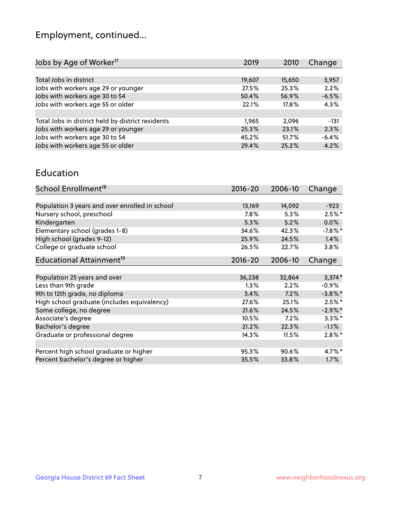## Employment, continued...

| Jobs by Age of Worker <sup>17</sup>               | 2019   | 2010   | Change  |
|---------------------------------------------------|--------|--------|---------|
|                                                   |        |        |         |
| Total Jobs in district                            | 19,607 | 15,650 | 3,957   |
| Jobs with workers age 29 or younger               | 27.5%  | 25.3%  | 2.2%    |
| Jobs with workers age 30 to 54                    | 50.4%  | 56.9%  | $-6.5%$ |
| Jobs with workers age 55 or older                 | 22.1%  | 17.8%  | 4.3%    |
|                                                   |        |        |         |
| Total Jobs in district held by district residents | 1.965  | 2,096  | $-131$  |
| Jobs with workers age 29 or younger               | 25.3%  | 23.1%  | 2.3%    |
| Jobs with workers age 30 to 54                    | 45.2%  | 51.7%  | $-6.4%$ |
| Jobs with workers age 55 or older                 | 29.4%  | 25.2%  | 4.2%    |

#### Education

| School Enrollment <sup>18</sup>                | $2016 - 20$ | 2006-10 | Change     |
|------------------------------------------------|-------------|---------|------------|
|                                                |             |         |            |
| Population 3 years and over enrolled in school | 13,169      | 14,092  | $-923$     |
| Nursery school, preschool                      | $7.8\%$     | 5.3%    | $2.5%$ *   |
| Kindergarten                                   | 5.3%        | 5.2%    | 0.0%       |
| Elementary school (grades 1-8)                 | 34.6%       | 42.3%   | $-7.8\%$ * |
| High school (grades 9-12)                      | 25.9%       | 24.5%   | 1.4%       |
| College or graduate school                     | 26.5%       | 22.7%   | 3.8%       |
| Educational Attainment <sup>19</sup>           | $2016 - 20$ | 2006-10 | Change     |
|                                                |             |         |            |
| Population 25 years and over                   | 36,238      | 32,864  | $3,374*$   |
| Less than 9th grade                            | $1.3\%$     | 2.2%    | $-0.9\%$   |
| 9th to 12th grade, no diploma                  | 3.4%        | 7.2%    | $-3.8\%$ * |
| High school graduate (includes equivalency)    | 27.6%       | 25.1%   | $2.5\%$ *  |
| Some college, no degree                        | 21.6%       | 24.5%   | $-2.9\%$ * |
| Associate's degree                             | 10.5%       | 7.2%    | $3.3\%$ *  |
| Bachelor's degree                              | 21.2%       | 22.3%   | $-1.1%$    |
| Graduate or professional degree                | 14.3%       | 11.5%   | $2.8\%*$   |
|                                                |             |         |            |
| Percent high school graduate or higher         | 95.3%       | 90.6%   | $4.7\%$ *  |
| Percent bachelor's degree or higher            | 35.5%       | 33.8%   | 1.7%       |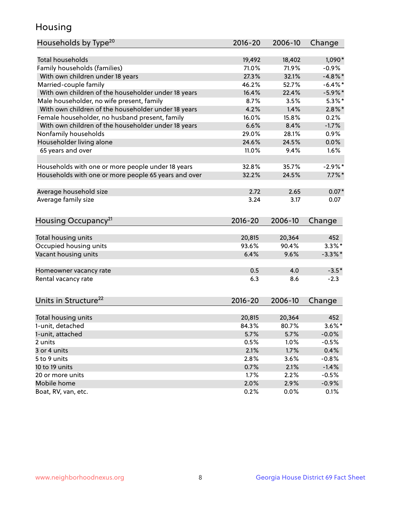## Housing

| Households by Type <sup>20</sup>                     | 2016-20     | 2006-10 | Change     |
|------------------------------------------------------|-------------|---------|------------|
| <b>Total households</b>                              | 19,492      | 18,402  | $1,090*$   |
| Family households (families)                         | 71.0%       | 71.9%   | $-0.9%$    |
| With own children under 18 years                     | 27.3%       | 32.1%   | $-4.8\%$ * |
| Married-couple family                                | 46.2%       | 52.7%   | $-6.4\%$ * |
| With own children of the householder under 18 years  | 16.4%       | 22.4%   | $-5.9%$ *  |
| Male householder, no wife present, family            | 8.7%        | 3.5%    | $5.3\%$ *  |
| With own children of the householder under 18 years  | 4.2%        | 1.4%    | $2.8\%$ *  |
| Female householder, no husband present, family       | 16.0%       | 15.8%   | 0.2%       |
| With own children of the householder under 18 years  | 6.6%        | 8.4%    | $-1.7%$    |
| Nonfamily households                                 | 29.0%       | 28.1%   | 0.9%       |
| Householder living alone                             | 24.6%       | 24.5%   | 0.0%       |
| 65 years and over                                    | 11.0%       | 9.4%    | 1.6%       |
|                                                      |             |         |            |
| Households with one or more people under 18 years    | 32.8%       | 35.7%   | $-2.9%$ *  |
| Households with one or more people 65 years and over | 32.2%       | 24.5%   | $7.7\%$ *  |
|                                                      |             |         |            |
| Average household size                               | 2.72        | 2.65    | $0.07*$    |
| Average family size                                  | 3.24        | 3.17    | 0.07       |
| Housing Occupancy <sup>21</sup>                      | 2016-20     | 2006-10 | Change     |
|                                                      |             |         |            |
| Total housing units                                  | 20,815      | 20,364  | 452        |
| Occupied housing units                               | 93.6%       | 90.4%   | $3.3\%$ *  |
| Vacant housing units                                 | 6.4%        | 9.6%    | $-3.3\%$ * |
|                                                      |             |         |            |
| Homeowner vacancy rate                               | 0.5         | 4.0     | $-3.5*$    |
| Rental vacancy rate                                  | 6.3         | 8.6     | $-2.3$     |
|                                                      |             |         |            |
| Units in Structure <sup>22</sup>                     | $2016 - 20$ | 2006-10 | Change     |
|                                                      |             |         |            |
| Total housing units                                  | 20,815      | 20,364  | 452        |
| 1-unit, detached                                     | 84.3%       | 80.7%   | $3.6\%$ *  |
| 1-unit, attached                                     | 5.7%        | 5.7%    | $-0.0%$    |
| 2 units                                              | 0.5%        | 1.0%    | $-0.5%$    |
| 3 or 4 units                                         | 2.1%        | 1.7%    | 0.4%       |
| 5 to 9 units                                         | 2.8%        | 3.6%    | $-0.8%$    |
| 10 to 19 units                                       | 0.7%        | 2.1%    | $-1.4%$    |
| 20 or more units                                     | 1.7%        | 2.2%    | $-0.5%$    |
| Mobile home                                          | 2.0%        | 2.9%    | $-0.9%$    |
| Boat, RV, van, etc.                                  | 0.2%        | 0.0%    | 0.1%       |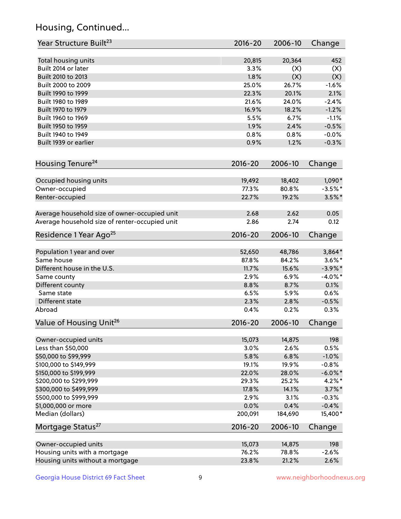## Housing, Continued...

| Year Structure Built <sup>23</sup>             | 2016-20      | 2006-10 | Change     |
|------------------------------------------------|--------------|---------|------------|
| Total housing units                            | 20,815       | 20,364  | 452        |
| Built 2014 or later                            | 3.3%         | (X)     | (X)        |
| Built 2010 to 2013                             | 1.8%         | (X)     | (X)        |
| Built 2000 to 2009                             | 25.0%        | 26.7%   | $-1.6%$    |
|                                                | 22.3%        | 20.1%   | 2.1%       |
| Built 1990 to 1999                             | 21.6%        |         | $-2.4%$    |
| Built 1980 to 1989                             |              | 24.0%   |            |
| Built 1970 to 1979                             | 16.9%        | 18.2%   | $-1.2%$    |
| Built 1960 to 1969                             | 5.5%         | 6.7%    | $-1.1%$    |
| Built 1950 to 1959<br>Built 1940 to 1949       | 1.9%<br>0.8% | 2.4%    | $-0.5%$    |
|                                                |              | 0.8%    | $-0.0%$    |
| Built 1939 or earlier                          | 0.9%         | 1.2%    | $-0.3%$    |
| Housing Tenure <sup>24</sup>                   | $2016 - 20$  | 2006-10 | Change     |
| Occupied housing units                         | 19,492       | 18,402  | 1,090*     |
| Owner-occupied                                 | 77.3%        | 80.8%   | $-3.5%$ *  |
| Renter-occupied                                | 22.7%        | 19.2%   | $3.5\%$ *  |
| Average household size of owner-occupied unit  | 2.68         | 2.62    | 0.05       |
| Average household size of renter-occupied unit | 2.86         | 2.74    | 0.12       |
| Residence 1 Year Ago <sup>25</sup>             | 2016-20      | 2006-10 | Change     |
| Population 1 year and over                     | 52,650       | 48,786  | $3,864*$   |
| Same house                                     | 87.8%        | 84.2%   | $3.6\%$ *  |
| Different house in the U.S.                    | 11.7%        | 15.6%   | $-3.9\%$ * |
| Same county                                    | 2.9%         | 6.9%    | $-4.0\%$ * |
| Different county                               | 8.8%         | 8.7%    | 0.1%       |
| Same state                                     | 6.5%         | 5.9%    | 0.6%       |
| Different state                                | 2.3%         | 2.8%    | $-0.5%$    |
| Abroad                                         | 0.4%         | 0.2%    | 0.3%       |
|                                                |              |         |            |
| Value of Housing Unit <sup>26</sup>            | 2016-20      | 2006-10 | Change     |
| Owner-occupied units                           | 15,073       | 14,875  | 198        |
| Less than \$50,000                             | 3.0%         | 2.6%    | 0.5%       |
| \$50,000 to \$99,999                           | 5.8%         | 6.8%    | $-1.0%$    |
| \$100,000 to \$149,999                         | 19.1%        | 19.9%   | $-0.8%$    |
| \$150,000 to \$199,999                         | 22.0%        | 28.0%   | $-6.0\%$ * |
| \$200,000 to \$299,999                         | 29.3%        | 25.2%   | $4.2\%$ *  |
| \$300,000 to \$499,999                         | 17.8%        | 14.1%   | $3.7\%$ *  |
| \$500,000 to \$999,999                         | 2.9%         | 3.1%    | $-0.3%$    |
| \$1,000,000 or more                            | 0.0%         | 0.4%    | $-0.4%$    |
| Median (dollars)                               | 200,091      | 184,690 | 15,400*    |
| Mortgage Status <sup>27</sup>                  | 2016-20      | 2006-10 | Change     |
| Owner-occupied units                           | 15,073       | 14,875  | 198        |
| Housing units with a mortgage                  | 76.2%        | 78.8%   | $-2.6%$    |
| Housing units without a mortgage               | 23.8%        | 21.2%   | 2.6%       |
|                                                |              |         |            |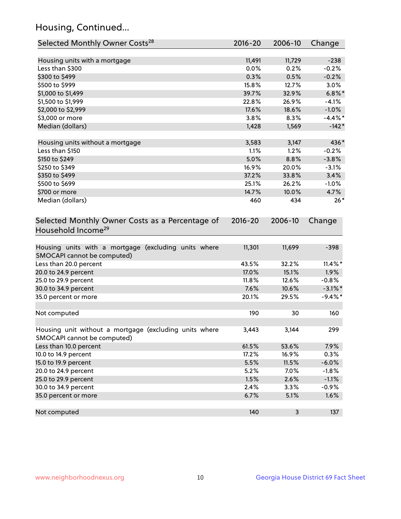## Housing, Continued...

| Selected Monthly Owner Costs <sup>28</sup>                                            | 2016-20     | 2006-10 | Change     |
|---------------------------------------------------------------------------------------|-------------|---------|------------|
| Housing units with a mortgage                                                         | 11,491      | 11,729  | $-238$     |
| Less than \$300                                                                       | 0.0%        | 0.2%    | $-0.2%$    |
| \$300 to \$499                                                                        | 0.3%        | 0.5%    | $-0.2%$    |
| \$500 to \$999                                                                        | 15.8%       | 12.7%   | 3.0%       |
| \$1,000 to \$1,499                                                                    | 39.7%       | 32.9%   | $6.8\%$ *  |
| \$1,500 to \$1,999                                                                    | 22.8%       | 26.9%   | $-4.1%$    |
| \$2,000 to \$2,999                                                                    | 17.6%       | 18.6%   | $-1.0%$    |
| \$3,000 or more                                                                       | 3.8%        | 8.3%    | $-4.4\%$ * |
| Median (dollars)                                                                      | 1,428       | 1,569   | $-142*$    |
|                                                                                       |             |         |            |
| Housing units without a mortgage                                                      | 3,583       | 3,147   | 436*       |
| Less than \$150                                                                       | 1.1%        | 1.2%    | $-0.2%$    |
| \$150 to \$249                                                                        | 5.0%        | 8.8%    | $-3.8%$    |
| \$250 to \$349                                                                        | 16.9%       | 20.0%   | $-3.1%$    |
| \$350 to \$499                                                                        | 37.2%       | 33.8%   | 3.4%       |
| \$500 to \$699                                                                        | 25.1%       | 26.2%   | $-1.0%$    |
| \$700 or more                                                                         | 14.7%       | 10.0%   | 4.7%       |
| Median (dollars)                                                                      | 460         | 434     | $26*$      |
| Selected Monthly Owner Costs as a Percentage of<br>Household Income <sup>29</sup>     | $2016 - 20$ | 2006-10 | Change     |
| Housing units with a mortgage (excluding units where<br>SMOCAPI cannot be computed)   | 11,301      | 11,699  | $-398$     |
| Less than 20.0 percent                                                                | 43.5%       | 32.2%   | $11.4\%$ * |
| 20.0 to 24.9 percent                                                                  | 17.0%       | 15.1%   | 1.9%       |
| 25.0 to 29.9 percent                                                                  | 11.8%       | 12.6%   | $-0.8%$    |
| 30.0 to 34.9 percent                                                                  | 7.6%        | 10.6%   | $-3.1\%$ * |
| 35.0 percent or more                                                                  | 20.1%       | 29.5%   | $-9.4\%$ * |
| Not computed                                                                          | 190         | 30      | 160        |
| Housing unit without a mortgage (excluding units where<br>SMOCAPI cannot be computed) | 3,443       | 3,144   | 299        |
| Less than 10.0 percent                                                                | 61.5%       | 53.6%   | 7.9%       |
| 10.0 to 14.9 percent                                                                  | 17.2%       | 16.9%   | 0.3%       |
| 15.0 to 19.9 percent                                                                  | 5.5%        | 11.5%   | $-6.0%$    |
| 20.0 to 24.9 percent                                                                  | 5.2%        | 7.0%    | $-1.8%$    |
| 25.0 to 29.9 percent                                                                  | 1.5%        | 2.6%    | $-1.1%$    |
| 30.0 to 34.9 percent                                                                  | 2.4%        | 3.3%    | $-0.9%$    |
| 35.0 percent or more                                                                  | 6.7%        | 5.1%    | 1.6%       |
| Not computed                                                                          | 140         | 3       | 137        |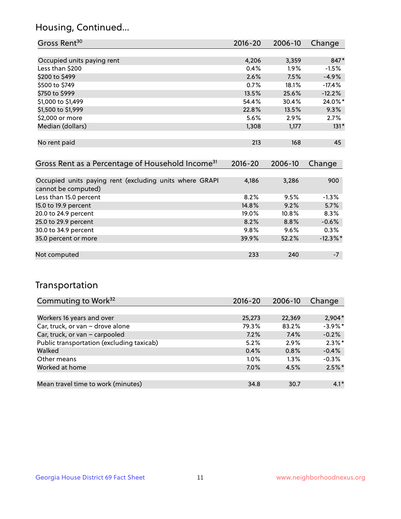## Housing, Continued...

| Gross Rent <sup>30</sup>   | 2016-20 | 2006-10 | Change   |
|----------------------------|---------|---------|----------|
|                            |         |         |          |
| Occupied units paying rent | 4,206   | 3,359   | 847*     |
| Less than \$200            | 0.4%    | 1.9%    | $-1.5%$  |
| \$200 to \$499             | 2.6%    | 7.5%    | $-4.9%$  |
| \$500 to \$749             | 0.7%    | 18.1%   | $-17.4%$ |
| \$750 to \$999             | 13.5%   | 25.6%   | $-12.2%$ |
| \$1,000 to \$1,499         | 54.4%   | 30.4%   | 24.0%*   |
| \$1,500 to \$1,999         | 22.8%   | 13.5%   | 9.3%     |
| \$2,000 or more            | 5.6%    | 2.9%    | 2.7%     |
| Median (dollars)           | 1,308   | 1,177   | $131*$   |
|                            |         |         |          |
| No rent paid               | 213     | 168     | 45       |

| Gross Rent as a Percentage of Household Income <sup>31</sup>                   | $2016 - 20$ | 2006-10  | Change   |
|--------------------------------------------------------------------------------|-------------|----------|----------|
|                                                                                |             |          |          |
| Occupied units paying rent (excluding units where GRAPI<br>cannot be computed) | 4,186       | 3,286    | 900      |
| Less than 15.0 percent                                                         | 8.2%        | 9.5%     | $-1.3%$  |
| 15.0 to 19.9 percent                                                           | 14.8%       | 9.2%     | 5.7%     |
| 20.0 to 24.9 percent                                                           | 19.0%       | $10.8\%$ | 8.3%     |
| 25.0 to 29.9 percent                                                           | 8.2%        | 8.8%     | $-0.6%$  |
| 30.0 to 34.9 percent                                                           | 9.8%        | 9.6%     | 0.3%     |
| 35.0 percent or more                                                           | 39.9%       | 52.2%    | $-12.3%$ |
|                                                                                |             |          |          |
| Not computed                                                                   | 233         | 240      | $-7$     |

## Transportation

| Commuting to Work <sup>32</sup>           | $2016 - 20$ | 2006-10 | Change     |
|-------------------------------------------|-------------|---------|------------|
|                                           |             |         |            |
| Workers 16 years and over                 | 25,273      | 22,369  | $2,904*$   |
| Car, truck, or van - drove alone          | 79.3%       | 83.2%   | $-3.9\%$ * |
| Car, truck, or van - carpooled            | 7.2%        | 7.4%    | $-0.2%$    |
| Public transportation (excluding taxicab) | 5.2%        | 2.9%    | $2.3\%$ *  |
| Walked                                    | 0.4%        | 0.8%    | $-0.4%$    |
| Other means                               | $1.0\%$     | 1.3%    | $-0.3%$    |
| Worked at home                            | $7.0\%$     | 4.5%    | $2.5\%$ *  |
|                                           |             |         |            |
| Mean travel time to work (minutes)        | 34.8        | 30.7    | $4.1*$     |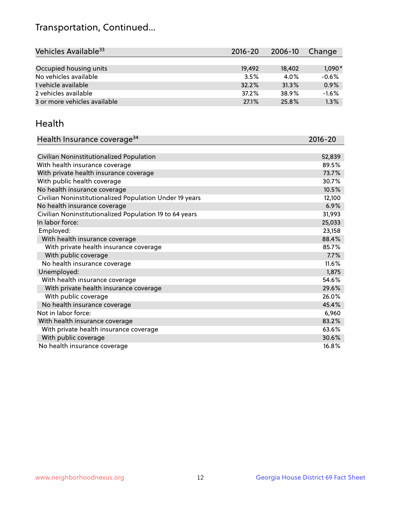## Transportation, Continued...

| Vehicles Available <sup>33</sup> | $2016 - 20$ | 2006-10 | Change   |
|----------------------------------|-------------|---------|----------|
|                                  |             |         |          |
| Occupied housing units           | 19,492      | 18,402  | $1,090*$ |
| No vehicles available            | 3.5%        | 4.0%    | $-0.6%$  |
| 1 vehicle available              | 32.2%       | 31.3%   | 0.9%     |
| 2 vehicles available             | 37.2%       | 38.9%   | $-1.6%$  |
| 3 or more vehicles available     | 27.1%       | 25.8%   | 1.3%     |

#### Health

| Health Insurance coverage <sup>34</sup>                 | 2016-20 |
|---------------------------------------------------------|---------|
|                                                         |         |
| Civilian Noninstitutionalized Population                | 52,839  |
| With health insurance coverage                          | 89.5%   |
| With private health insurance coverage                  | 73.7%   |
| With public health coverage                             | 30.7%   |
| No health insurance coverage                            | 10.5%   |
| Civilian Noninstitutionalized Population Under 19 years | 12,100  |
| No health insurance coverage                            | 6.9%    |
| Civilian Noninstitutionalized Population 19 to 64 years | 31,993  |
| In labor force:                                         | 25,033  |
| Employed:                                               | 23,158  |
| With health insurance coverage                          | 88.4%   |
| With private health insurance coverage                  | 85.7%   |
| With public coverage                                    | 7.7%    |
| No health insurance coverage                            | 11.6%   |
| Unemployed:                                             | 1,875   |
| With health insurance coverage                          | 54.6%   |
| With private health insurance coverage                  | 29.6%   |
| With public coverage                                    | 26.0%   |
| No health insurance coverage                            | 45.4%   |
| Not in labor force:                                     | 6,960   |
| With health insurance coverage                          | 83.2%   |
| With private health insurance coverage                  | 63.6%   |
| With public coverage                                    | 30.6%   |
| No health insurance coverage                            | 16.8%   |